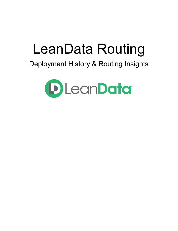# LeanData Routing

# Deployment History & Routing Insights

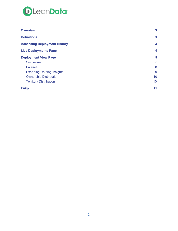

| <b>Overview</b>                     | 3                |
|-------------------------------------|------------------|
| <b>Definitions</b>                  | $\mathbf{3}$     |
| <b>Accessing Deployment History</b> | 3                |
| <b>Live Deployments Page</b>        | $\boldsymbol{4}$ |
| <b>Deployment View Page</b>         | 5                |
| <b>Successes</b>                    | $\overline{7}$   |
| <b>Failures</b>                     | 8                |
| <b>Exporting Routing Insights</b>   | 9                |
| <b>Ownership Distribution</b>       | 10               |
| <b>Territory Distribution</b>       | 10               |
| <b>FAQs</b>                         | 11               |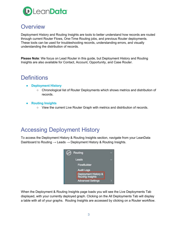

## <span id="page-2-0"></span>**Overview**

Deployment History and Routing Insights are tools to better understand how records are routed through current Router Flows, One-Time Routing jobs, and previous Router deployments. These tools can be used for troubleshooting records, understanding errors, and visually understanding the distribution of records.

**Please Note**: We focus on Lead Router in this guide, but Deployment History and Routing Insights are also available for Contact, Account, Opportunity, and Case Router.

# <span id="page-2-1"></span>**Definitions**

- **● Deployment History**
	- Chronological list of Router Deployments which shows metrics and distribution of records.
- **● Routing Insights**
	- View the current Live Router Graph with metrics and distribution of records.

# <span id="page-2-2"></span>Accessing Deployment History

To access the Deployment History & Routing Insights section, navigate from your LeanData Dashboard to Routing  $\rightarrow$  Leads  $\rightarrow$  Deployment History & Routing Insights.



When the Deployment & Routing Insights page loads you will see the Live Deployments Tab displayed, with your currently deployed graph. Clicking on the All Deployments Tab will display a table with all of your graphs. Routing Insights are accessed by clicking on a Router workflow.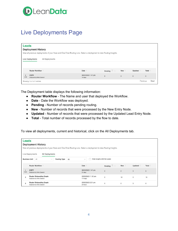

# <span id="page-3-0"></span>Live Deployments Page

| <b>Leads</b>         | <b>Deployment History</b>                                                                                            |                               |              |            |         |                  |  |
|----------------------|----------------------------------------------------------------------------------------------------------------------|-------------------------------|--------------|------------|---------|------------------|--|
|                      | View all previous deployments of your flows and One-Time Routing runs. Select a deployment to view Routing Insights. |                               |              |            |         |                  |  |
|                      | All Deployments<br>Live Deployments                                                                                  |                               |              |            |         |                  |  |
|                      |                                                                                                                      |                               |              |            |         |                  |  |
|                      | <b>Router Workflow</b>                                                                                               | Date                          | Pending ?    | <b>New</b> | Updated | Total            |  |
| $\mathbf{1}$<br>Live | COPY<br>Deployed by Mike Dawson                                                                                      | 08/24/2020 1:41 pm<br>18 days | $\mathbf{0}$ | $\circ$    | $\circ$ | $\circ$          |  |
|                      | Showing 1 to 1 of 1 entries                                                                                          |                               |              |            |         | Next<br>Previous |  |

The Deployment table displays the following information:

- **Router Workflow** The Name and user that deployed the Workflow.
- **Date** Date the Workflow was deployed.
- **Pending** Number of records pending routing.
- **New** Number of records that were processed by the New Entry Node.
- **Updated** Number of records that were processed by the Updated Lead Entry Node.
- **Total** Total number of records processed by the flow to date.

To view all deployments, current and historical, click on the All Deployments tab.

| <b>Leads</b>         | <b>Deployment History</b>                                 |                                      | View all previous deployments of your flows and One-Time Routing runs. Select a deployment to view Routing Insights. |                           |              |         |              |
|----------------------|-----------------------------------------------------------|--------------------------------------|----------------------------------------------------------------------------------------------------------------------|---------------------------|--------------|---------|--------------|
|                      | Live Deployments<br>All Deployments                       |                                      |                                                                                                                      |                           |              |         |              |
| <b>Business Unit</b> | All                                                       | <b>Routing Type</b><br>All<br>$\sim$ | $\sim$                                                                                                               | Hide Graphs with No Leads |              |         |              |
|                      | <b>Router Workflow</b>                                    |                                      | Date                                                                                                                 | Pending ?                 | <b>New</b>   | Updated | Total        |
| $\mathbf{1}$<br>Live | COPY<br>Deployed by Mike Dawson                           |                                      | 08/24/2020 1:41 pm<br>21 days                                                                                        | $\Omega$                  | $\mathbf{0}$ | $\circ$ | $\mathbf{0}$ |
| $\overline{2}$       | <b>Router Onboarding Graph</b><br>Deployed by Mike Dawson |                                      | 03/03/2020 11:12 am<br>174 days                                                                                      | $\circ$                   | 10           | $\circ$ | 10           |
| 3                    | <b>Router Onboarding Graph</b><br>Deployed by Mike Dawson |                                      | 03/02/2020 2:51 pm<br>20 hours                                                                                       | $\Omega$                  | $\mathbf{0}$ | $\circ$ | 0            |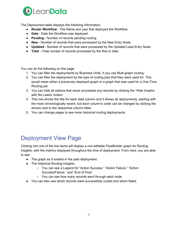

The Deployment table displays the following information:

- **Router Workflow** The Name and user that deployed the Workflow.
- **Date** Date the Workflow was deployed.
- **Pending** Number of records pending routing.
- **New** Number of records that were processed by the New Entry Node.
- **Updated** Number of records that were processed by the Updated Lead Entry Node.
- **Total** Total number of records processed by the flow to date.

You can do the following on this page:

- 1. You can filter the deployments by Business Units, if you use Multi-graph routing.
- 2. You can filter the deployment by the type of routing jobs that they were used for. This would mean either a previously deployed graph or a graph that was used for a One-Time Routing job.
- 3. You can hide all options that never processed any records by clicking the "Hide Graphs with No Leads" button.
- 4. This row shows the title for each data column and it shows all deployments, starting with the most chronologically recent, but each column's order can be changed by clicking the arrows next to the respective column titles.
- 5. You can change pages to see more historical routing deployments.

# <span id="page-4-0"></span>Deployment View Page

Clicking into one of the line items will display a non-editable FlowBuilder graph for Routing Insights, with the metrics displayed throughout the time of deployment. From here, you are able to see:

- The graph as it existed in the past deployment.
- The historical Routing Insights:
	- You can see a Legend for "Action Success," "Action Failure," "Action Success/Failure," and "End of Flow"
	- You can see how many records went through each node
- You can also see which records were successfully routed and which failed.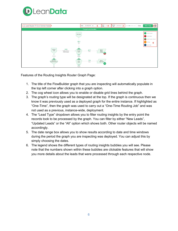



Features of the Routing Insights Router Graph Page:

- 1. The title of the FlowBuilder graph that you are inspecting will automatically populate in the top left corner after clicking into a graph option.
- 2. The cog wheel icon allows you to enable or disable grid lines behind the graph.
- 3. The graph's routing type will be designated at the top. If the graph is continuous then we know it was previously used as a deployed graph for the entire instance. If highlighted as "One-Time", then the graph was used to carry out a "One-Time Routing Job" and was not used as a previous, instance-wide, deployment.
- 4. The "Lead Type" dropdown allows you to filter routing insights by the entry point the records took to be processed by the graph. You can filter by either "New Leads", "Updated Leads" or the "All" option which shows both. Other router objects will be named accordingly.
- 5. The date range box allows you to show results according to date and time windows during the period the graph you are inspecting was deployed. You can adjust this by simply choosing the dates.
- 6. The legend shows the different types of routing insights bubbles you will see. Please note that the numbers shown within these bubbles are clickable features that will show you more details about the leads that were processed through each respective node.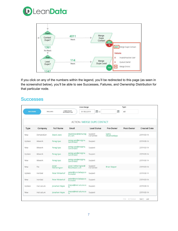



If you click on any of the numbers within the legend, you'll be redirected to this page (as seen in the screenshot below), you'll be able to see Successes, Failures, and Ownership Distribution for that particular node.

#### <span id="page-6-0"></span>**Successes**

|                  |             |                              | Date Range                              |                                    |                       | Type                |                     |
|------------------|-------------|------------------------------|-----------------------------------------|------------------------------------|-----------------------|---------------------|---------------------|
| <b>SUCCESSES</b> |             | <b>FAILURES</b>              | OWNERSHIP<br>DISTRIBUTION<br>01/30/2019 | $\frac{u_{A1}}{31}$ to             | $\frac{1000}{31}$     | All                 |                     |
|                  |             |                              |                                         |                                    |                       |                     |                     |
|                  |             |                              |                                         | <b>ACTION / MERGE DUPE CONTACT</b> |                       |                     |                     |
| Type             | Company     | <b>Full Name</b>             | Email                                   | <b>Lead Status</b>                 | Pre-Owner             | Post-Owner          | <b>Created Date</b> |
| <b>New</b>       | DemandGen   | David Lewis                  | david.lewis@demandg<br>en.com           | Suspect-<br>Converted              | Sasha<br>Obukhovskaya |                     | 2019-03-14          |
| Update           | Wework      | Parag Vyas                   | parag.vyas@enzigma.<br>com.invalid      | Suspect                            |                       |                     | 2019-03-14          |
| New              | Wework      | Parag Vyas                   | parag.vyas@enzigma.<br>com.invalid      | Suspect                            |                       |                     | 2019-03-14          |
| Update           | Wework      | Parag Vyas                   | parag.vyas@enzigma.<br>com.invalid      | Suspect                            |                       |                     | 2019-03-14          |
| <b>New</b>       | Wework      | Parag Vyas                   | parag.vyas@enzigma.<br>com.invalid      | Suspect                            |                       |                     | 2019-03-14          |
| <b>New</b>       | Fiix        | <b>Jonah</b><br>Hetherington | jonah.hetherington@<br>fiixsoftware.com | Suspect-<br>Converted              | <b>Brian Skipper</b>  |                     | 2019-03-14          |
| Update           | Ironclad    | Peter Winterhof              | peter@ironcladapp.co<br>m.invalid       | Suspect                            |                       |                     | 2019-03-14          |
| New              | Ironclad    | Peter Winterhof              | peter@ironcladapp.co<br>m.invalid       | Suspect                            |                       |                     | 2019-03-14          |
| Update           | Instructure | Jonathan Heyse               | jheyse@instructure.co<br>m              | Suspect                            |                       |                     | 2019-03-14          |
| <b>New</b>       | Instructure | Jonathan Heyse               | jheyse@instructure.co<br>m              | Suspect                            |                       |                     | 2019-03-14          |
|                  |             |                              |                                         |                                    |                       | < Previous<br>First | Next ><br>Last      |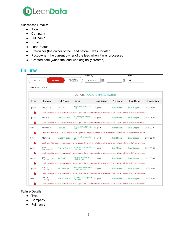

Successes Details:

- Type
- Company
- Full name
- Email
- Lead Status
- Pre-owner (the owner of the Lead before it was updated)
- Post-owner (the current owner of the lead when it was processed)
- Created date (when the lead was originally created)

<span id="page-7-0"></span>

| allure |
|--------|
|        |
|        |

|                        |                                                                                                                                                     |                  | Date Range                                                                                                                                          |                      |                      | Type                 |                     |
|------------------------|-----------------------------------------------------------------------------------------------------------------------------------------------------|------------------|-----------------------------------------------------------------------------------------------------------------------------------------------------|----------------------|----------------------|----------------------|---------------------|
| <b>SUCCESSES</b>       |                                                                                                                                                     | <b>FAILURES</b>  | OWNERSHIP<br>01/30/2019<br><b>DISTRIBUTION</b>                                                                                                      | $\frac{uw}{ 31 }$ to | 网                    | All                  |                     |
| Filter By Failure Type |                                                                                                                                                     |                  |                                                                                                                                                     |                      |                      |                      |                     |
|                        |                                                                                                                                                     |                  | <b>ACTION / ROUTE TO NAMED OWNER</b>                                                                                                                |                      |                      |                      |                     |
| Type                   | Company                                                                                                                                             | <b>Full Name</b> | Email                                                                                                                                               | <b>Lead Status</b>   | Pre-Owner            | Post-Owner           | <b>Created Date</b> |
| Update                 | Mastercard                                                                                                                                          | Lucy Cao         | lucy.cao@mastercard.<br>com                                                                                                                         | Suspect              | <b>Brian Skipper</b> | <b>Brian Skipper</b> | 2019-03-05          |
|                        |                                                                                                                                                     |                  | Leads cannot be routed to invalid/inactive users. (Update the target owner to be an active user or set a fallback rule for invalid/inactive owners) |                      |                      |                      |                     |
| Update                 | Microsoft                                                                                                                                           | Meredith Coots   | memaris@microsoft.c<br>om                                                                                                                           | Suspect              | <b>Brian Skipper</b> | <b>Brian Skipper</b> | 2019-03-05          |
|                        |                                                                                                                                                     |                  | Leads cannot be routed to invalid/inactive users. (Update the target owner to be an active user or set a fallback rule for invalid/inactive owners) |                      |                      |                      |                     |
| New                    | Mastercard                                                                                                                                          | Lucy Cao         | lucy.cao@mastercard.<br>com                                                                                                                         | Suspect              | <b>Brian Skipper</b> | <b>Brian Skipper</b> | 2019-03-05          |
|                        |                                                                                                                                                     |                  | Leads cannot be routed to invalid/inactive users. (Update the target owner to be an active user or set a fallback rule for invalid/inactive owners) |                      |                      |                      |                     |
| New                    | Microsoft                                                                                                                                           | Meredith Coots   | memaris@microsoft.c<br>om                                                                                                                           | Suspect              | <b>Brian Skipper</b> | <b>Brian Skipper</b> | 2019-03-05          |
|                        |                                                                                                                                                     |                  | Leads cannot be routed to invalid/inactive users. (Update the target owner to be an active user or set a fallback rule for invalid/inactive owners) |                      |                      |                      |                     |
| Update                 | Verizon<br>Sourcing LLC                                                                                                                             | Graciela Alarcon | graciela.alarcon@nl.ve<br>rizon.com                                                                                                                 | Suspect              | <b>Brian Skipper</b> | <b>Brian Skipper</b> | 2019-03-04          |
|                        | Leads cannot be routed to invalid/inactive users. (Update the target owner to be an active user or set a fallback rule for invalid/inactive owners) |                  |                                                                                                                                                     |                      |                      |                      |                     |
| Update                 | Verizon<br>Sourcing LLC                                                                                                                             | lim Grady        | james.grady@verizon<br>wireless com                                                                                                                 | Suspect              | <b>Brian Skipper</b> | <b>Brian Skipper</b> | 2019-03-04          |
|                        | Leads cannot be routed to invalid/inactive users. (Update the target owner to be an active user or set a fallback rule for invalid/inactive owners) |                  |                                                                                                                                                     |                      |                      |                      |                     |
| Update                 | Verizon<br>Sourcing LLC                                                                                                                             | Kendall Brown    | kendall.brown3@veriz<br>onwireless.com                                                                                                              | Suspect              | <b>Brian Skipper</b> | <b>Brian Skipper</b> | 2019-03-04          |
|                        |                                                                                                                                                     |                  | Leads cannot be routed to invalid/inactive users. (Update the target owner to be an active user or set a fallback rule for invalid/inactive owners) |                      |                      |                      |                     |
| <b>New</b>             | Verizon<br>Sourcing LLC                                                                                                                             | Graciela Alarcon | graciela.alarcon@nl.ve<br>rizon.com                                                                                                                 | Suspect              | <b>Brian Skipper</b> | <b>Brian Skipper</b> | 2019-03-04          |
|                        |                                                                                                                                                     |                  | Leads cannot be routed to invalid/inactive users. (Update the target owner to be an active user or set a fallback rule for invalid/inactive owners) |                      |                      |                      |                     |

Failure Details:

- Type
- Company
- Full name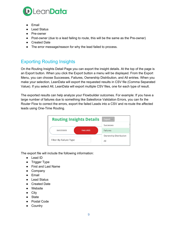

- Email
- Lead Status
- Pre-owner
- Post-owner (due to a lead failing to route, this will be the same as the Pre-owner)
- Created Date
- The error message/reason for why the lead failed to process.

## <span id="page-8-0"></span>Exporting Routing Insights

On the Routing Insights Detail Page you can export the insight details. At the top of the page is an Export button. When you click the Export button a menu will be displayed. From the Export Menu, you can choose Successes, Failures, Ownership Distribution, and All entries. When you make your selection, LeanData will export the requested results in CSV file (Comma Separated Value). If you select All, LeanData will export multiple CSV files, one for each type of result.

The exported results can help analyze your Flowbuilder outcomes. For example: If you have a large number of failures due to something like Salesforce Validation Errors, you can fix the Router Flow to correct the errors, export the failed Leads into a CSV and re-route the affected leads using One-Time Routing.

| <b>Routing Insights Details</b> | Export $\vee$   |                               |  |
|---------------------------------|-----------------|-------------------------------|--|
|                                 |                 | Successes                     |  |
| <b>SUCCESSES</b>                | <b>FAILURES</b> | <b>Failures</b>               |  |
| Filter By Failure Type          |                 | Ownership Distribution<br>All |  |

The export file will include the following information:

- Lead ID
- Trigger Type
- First and Last Name
- Company
- Email
- Lead Status
- Created Date
- Website
- City
- State
- Postal Code
- Country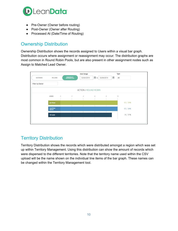

- Pre-Owner (Owner before routing)
- Post-Owner (Owner after Routing)
- Processed At (Date/Time of Routing)

#### <span id="page-9-0"></span>Ownership Distribution

Ownership Distribution shows the records assigned to Users within a visual bar graph. Distribution occurs where assignment or reassignment may occur. The distribution graphs are most common in Round Robin Pools, but are also present in other assignment nodes such as Assign to Matched Lead Owner.



### <span id="page-9-1"></span>Territory Distribution

Territory Distribution shows the records which were distributed amongst a region which was set up within Territory Management. Using this distribution can show the amount of records which were dispersed to the different territories. Note that the territory name used within the CSV upload will be the name shown on the individual line items of the bar graph. These names can be changed within the Territory Management tool.